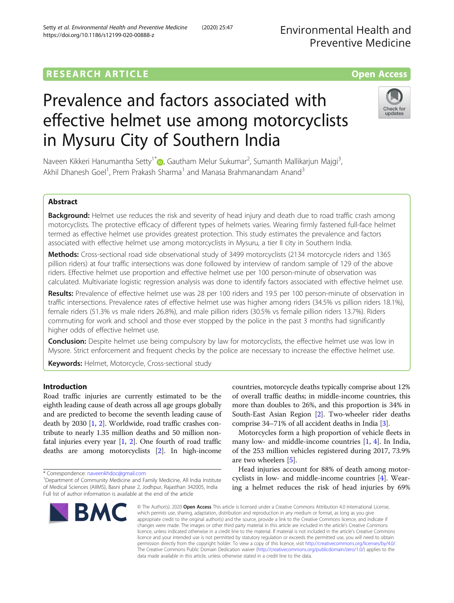## **RESEARCH ARTICLE Example 2014 12:30 The Contract of Contract ACCESS**

# Prevalence and factors associated with effective helmet use among motorcyclists in Mysuru City of Southern India

Naveen Kikkeri Hanumantha Setty<sup>1\*</sup>®[,](http://orcid.org/0000-0003-4261-5989) Gautham Melur Sukumar<sup>2</sup>, Sumanth Mallikarjun Majgi<sup>3</sup> , Akhil Dhanesh Goel<sup>1</sup>, Prem Prakash Sharma<sup>1</sup> and Manasa Brahmanandam Anand<sup>3</sup>

### Abstract

Background: Helmet use reduces the risk and severity of head injury and death due to road traffic crash among motorcyclists. The protective efficacy of different types of helmets varies. Wearing firmly fastened full-face helmet termed as effective helmet use provides greatest protection. This study estimates the prevalence and factors associated with effective helmet use among motorcyclists in Mysuru, a tier II city in Southern India.

Methods: Cross-sectional road side observational study of 3499 motorcyclists (2134 motorcycle riders and 1365 pillion riders) at four traffic intersections was done followed by interview of random sample of 129 of the above riders. Effective helmet use proportion and effective helmet use per 100 person-minute of observation was calculated. Multivariate logistic regression analysis was done to identify factors associated with effective helmet use.

Results: Prevalence of effective helmet use was 28 per 100 riders and 19.5 per 100 person-minute of observation in traffic intersections. Prevalence rates of effective helmet use was higher among riders (34.5% vs pillion riders 18.1%), female riders (51.3% vs male riders 26.8%), and male pillion riders (30.5% vs female pillion riders 13.7%). Riders commuting for work and school and those ever stopped by the police in the past 3 months had significantly higher odds of effective helmet use.

**Conclusion:** Despite helmet use being compulsory by law for motorcyclists, the effective helmet use was low in Mysore. Strict enforcement and frequent checks by the police are necessary to increase the effective helmet use.

**Keywords:** Helmet, Motorcycle, Cross-sectional study

#### Introduction

Road traffic injuries are currently estimated to be the eighth leading cause of death across all age groups globally and are predicted to become the seventh leading cause of death by 2030 [[1](#page-7-0), [2](#page-7-0)]. Worldwide, road traffic crashes contribute to nearly 1.35 million deaths and 50 million nonfatal injuries every year  $[1, 2]$  $[1, 2]$  $[1, 2]$ . One fourth of road traffic deaths are among motorcyclists [\[2\]](#page-7-0). In high-income



countries, motorcycle deaths typically comprise about 12% of overall traffic deaths; in middle-income countries, this more than doubles to 26%, and this proportion is 34% in South-East Asian Region [\[2](#page-7-0)]. Two-wheeler rider deaths comprise 34–71% of all accident deaths in India [[3](#page-7-0)].

Motorcycles form a high proportion of vehicle fleets in many low- and middle-income countries [[1,](#page-7-0) [4\]](#page-7-0). In India, of the 253 million vehicles registered during 2017, 73.9% are two wheelers [[5\]](#page-7-0).

Head injuries account for 88% of death among motorcyclists in low- and middle-income countries [[4\]](#page-7-0). Wearing a helmet reduces the risk of head injuries by 69%

© The Author(s), 2020 **Open Access** This article is licensed under a Creative Commons Attribution 4.0 International License, which permits use, sharing, adaptation, distribution and reproduction in any medium or format, as long as you give appropriate credit to the original author(s) and the source, provide a link to the Creative Commons licence, and indicate if changes were made. The images or other third party material in this article are included in the article's Creative Commons licence, unless indicated otherwise in a credit line to the material. If material is not included in the article's Creative Commons licence and your intended use is not permitted by statutory regulation or exceeds the permitted use, you will need to obtain permission directly from the copyright holder. To view a copy of this licence, visit [http://creativecommons.org/licenses/by/4.0/.](http://creativecommons.org/licenses/by/4.0/) The Creative Commons Public Domain Dedication waiver [\(http://creativecommons.org/publicdomain/zero/1.0/](http://creativecommons.org/publicdomain/zero/1.0/)) applies to the data made available in this article, unless otherwise stated in a credit line to the data.



<sup>\*</sup> Correspondence: [naveenkhdoc@gmail.com](mailto:naveenkhdoc@gmail.com) <sup>1</sup>

<sup>&</sup>lt;sup>1</sup>Department of Community Medicine and Family Medicine, All India Institute of Medical Sciences (AIIMS), Basni phase 2, Jodhpur, Rajasthan 342005, India Full list of author information is available at the end of the article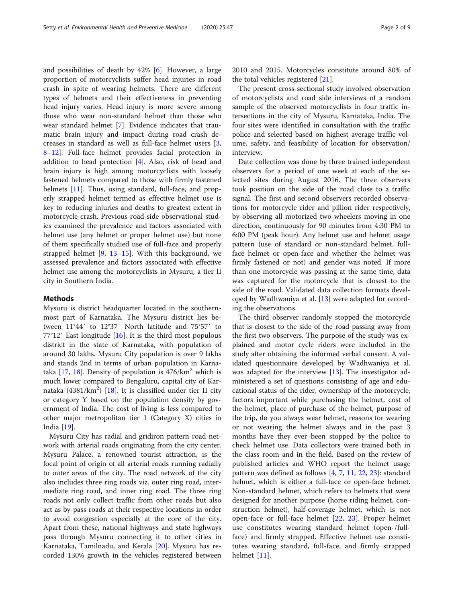and possibilities of death by 42% [[6](#page-7-0)]. However, a large proportion of motorcyclists suffer head injuries in road crash in spite of wearing helmets. There are different types of helmets and their effectiveness in preventing head injury varies. Head injury is more severe among those who wear non-standard helmet than those who wear standard helmet [\[7\]](#page-7-0). Evidence indicates that traumatic brain injury and impact during road crash decreases in standard as well as full-face helmet users [\[3](#page-7-0), [8](#page-7-0)–[12](#page-7-0)]. Full-face helmet provides facial protection in addition to head protection [[4\]](#page-7-0). Also, risk of head and brain injury is high among motorcyclists with loosely fastened helmets compared to those with firmly fastened helmets [[11\]](#page-7-0). Thus, using standard, full-face, and properly strapped helmet termed as effective helmet use is key to reducing injuries and deaths to greatest extent in motorcycle crash. Previous road side observational studies examined the prevalence and factors associated with helmet use (any helmet or proper helmet use) but none of them specifically studied use of full-face and properly strapped helmet [\[9](#page-7-0), [13](#page-7-0)–[15](#page-7-0)]. With this background, we assessed prevalence and factors associated with effective helmet use among the motorcyclists in Mysuru, a tier II city in Southern India.

#### Methods

Mysuru is district headquarter located in the southernmost part of Karnataka. The Mysuru district lies between 11°44′ to 12°37′ North latitude and 75°57′ to  $77^{\circ}12'$  East longitude [[16](#page-7-0)]. It is the third most populous district in the state of Karnataka, with population of around 30 lakhs. Mysuru City population is over 9 lakhs and stands 2nd in terms of urban population in Karnataka  $[17, 18]$  $[17, 18]$  $[17, 18]$ . Density of population is  $476/km<sup>2</sup>$  which is much lower compared to Bengaluru, capital city of Karnataka  $(4381/\text{km}^2)$  [\[18](#page-8-0)]. It is classified under tier II city or category Y based on the population density by government of India. The cost of living is less compared to other major metropolitan tier 1 (Category X) cities in India [[19](#page-8-0)].

Mysuru City has radial and gridiron pattern road network with arterial roads originating from the city center. Mysuru Palace, a renowned tourist attraction, is the focal point of origin of all arterial roads running radially to outer areas of the city. The road network of the city also includes three ring roads viz. outer ring road, intermediate ring road, and inner ring road. The three ring roads not only collect traffic from other roads but also act as by-pass roads at their respective locations in order to avoid congestion especially at the core of the city. Apart from these, national highways and state highways pass through Mysuru connecting it to other cities in Karnataka, Tamilnadu, and Kerala [[20\]](#page-8-0). Mysuru has recorded 130% growth in the vehicles registered between 2010 and 2015. Motorcycles constitute around 80% of the total vehicles registered [[21\]](#page-8-0).

The present cross-sectional study involved observation of motorcyclists and road side interviews of a random sample of the observed motorcyclists in four traffic intersections in the city of Mysuru, Karnataka, India. The four sites were identified in consultation with the traffic police and selected based on highest average traffic volume, safety, and feasibility of location for observation/ interview.

Date collection was done by three trained independent observers for a period of one week at each of the selected sites during August 2016. The three observers took position on the side of the road close to a traffic signal. The first and second observers recorded observations for motorcycle rider and pillion rider respectively, by observing all motorized two-wheelers moving in one direction, continuously for 90 minutes from 4:30 PM to 6:00 PM (peak hour). Any helmet use and helmet usage pattern (use of standard or non-standard helmet, fullface helmet or open-face and whether the helmet was firmly fastened or not) and gender was noted. If more than one motorcycle was passing at the same time, data was captured for the motorcycle that is closest to the side of the road. Validated data collection formats developed by Wadhwaniya et al. [\[13\]](#page-7-0) were adapted for recording the observations.

The third observer randomly stopped the motorcycle that is closest to the side of the road passing away from the first two observers. The purpose of the study was explained and motor cycle riders were included in the study after obtaining the informed verbal consent. A validated questionnaire developed by Wadhwaniya et al. was adapted for the interview [\[13](#page-7-0)]. The investigator administered a set of questions consisting of age and educational status of the rider, ownership of the motorcycle, factors important while purchasing the helmet, cost of the helmet, place of purchase of the helmet, purpose of the trip, do you always wear helmet, reasons for wearing or not wearing the helmet always and in the past 3 months have they ever been stopped by the police to check helmet use. Data collectors were trained both in the class room and in the field. Based on the review of published articles and WHO report the helmet usage pattern was defined as follows [[4,](#page-7-0) [7,](#page-7-0) [11,](#page-7-0) [22,](#page-8-0) [23\]](#page-8-0): standard helmet, which is either a full-face or open-face helmet. Non-standard helmet, which refers to helmets that were designed for another purpose (horse riding helmet, construction helmet), half-coverage helmet, which is not open-face or full-face helmet [\[22,](#page-8-0) [23\]](#page-8-0). Proper helmet use constitutes wearing standard helmet (open-/fullface) and firmly strapped. Effective helmet use constitutes wearing standard, full-face, and firmly strapped helmet [\[11](#page-7-0)].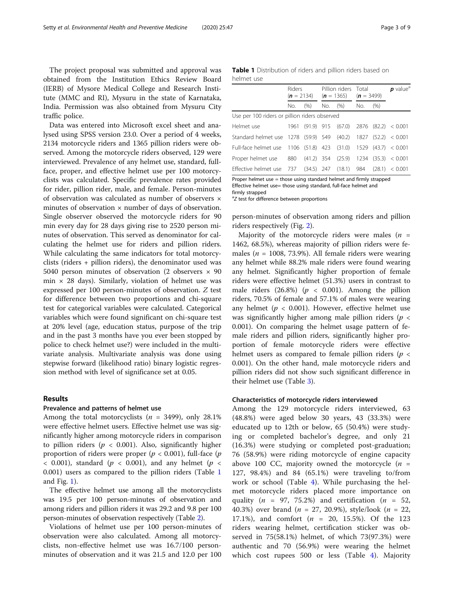The project proposal was submitted and approval was obtained from the Institution Ethics Review Board (IERB) of Mysore Medical College and Research Institute (MMC and RI), Mysuru in the state of Karnataka, India. Permission was also obtained from Mysuru City traffic police.

Data was entered into Microsoft excel sheet and analysed using SPSS version 23.0. Over a period of 4 weeks, 2134 motorcycle riders and 1365 pillion riders were observed. Among the motorcycle riders observed, 129 were interviewed. Prevalence of any helmet use, standard, fullface, proper, and effective helmet use per 100 motorcyclists was calculated. Specific prevalence rates provided for rider, pillion rider, male, and female. Person-minutes of observation was calculated as number of observers × minutes of observation  $\times$  number of days of observation. Single observer observed the motorcycle riders for 90 min every day for 28 days giving rise to 2520 person minutes of observation. This served as denominator for calculating the helmet use for riders and pillion riders. While calculating the same indicators for total motorcyclists (riders + pillion riders), the denominator used was 5040 person minutes of observation (2 observers  $\times$  90 min  $\times$  28 days). Similarly, violation of helmet use was expressed per 100 person-minutes of observation. Z test for difference between two proportions and chi-square test for categorical variables were calculated. Categorical variables which were found significant on chi-square test at 20% level (age, education status, purpose of the trip and in the past 3 months have you ever been stopped by police to check helmet use?) were included in the multivariate analysis. Multivariate analysis was done using stepwise forward (likelihood ratio) binary logistic regression method with level of significance set at 0.05.

#### Results

#### Prevalence and patterns of helmet use

Among the total motorcyclists ( $n = 3499$ ), only 28.1% were effective helmet users. Effective helmet use was significantly higher among motorcycle riders in comparison to pillion riders ( $p < 0.001$ ). Also, significantly higher proportion of riders were proper ( $p < 0.001$ ), full-face ( $p$  $<$  0.001), standard ( $p <$  0.001), and any helmet ( $p <$ 0.001) users as compared to the pillion riders (Table 1 and Fig. [1](#page-3-0)).

The effective helmet use among all the motorcyclists was 19.5 per 100 person-minutes of observation and among riders and pillion riders it was 29.2 and 9.8 per 100 person-minutes of observation respectively (Table [2\)](#page-3-0).

Violations of helmet use per 100 person-minutes of observation were also calculated. Among all motorcyclists, non-effective helmet use was 16.7/100 personminutes of observation and it was 21.5 and 12.0 per 100

Table 1 Distribution of riders and pillion riders based on helmet use

|                                                                 | Riders |     | Pillion riders Total<br>$(n = 2134)$ $(n = 1365)$ |      | $(n = 3499)$ |       | $p$ value <sup>a</sup>                     |  |
|-----------------------------------------------------------------|--------|-----|---------------------------------------------------|------|--------------|-------|--------------------------------------------|--|
|                                                                 | No.    | (%) | No.                                               | (% ) | No.          | (9/6) |                                            |  |
| Use per 100 riders or pillion riders observed                   |        |     |                                                   |      |              |       |                                            |  |
| Helmet use                                                      |        |     |                                                   |      |              |       | 1961 (91.9) 915 (67.0) 2876 (82.2) < 0.001 |  |
| Standard helmet use 1278 (59.9) 549 (40.2) 1827 (52.2) < 0.001  |        |     |                                                   |      |              |       |                                            |  |
| Full-face helmet use 1106 (51.8) 423 (31.0) 1529 (43.7) < 0.001 |        |     |                                                   |      |              |       |                                            |  |
| Proper helmet use                                               |        |     |                                                   |      |              |       | 880 (41.2) 354 (25.9) 1234 (35.3) < 0.001  |  |
| Effective helmet use 737 (34.5) 247 (18.1) 984                  |        |     |                                                   |      |              |       | (28.1) < 0.001                             |  |

Proper helmet use = those using standard helmet and firmly strapped Effective helmet use= those using standard, full-face helmet and firmly strapped

<sup>a</sup>Z test for difference between proportions

person-minutes of observation among riders and pillion riders respectively (Fig. [2\)](#page-4-0).

Majority of the motorcycle riders were males  $(n =$ 1462, 68.5%), whereas majority of pillion riders were females ( $n = 1008, 73.9\%$ ). All female riders were wearing any helmet while 88.2% male riders were found wearing any helmet. Significantly higher proportion of female riders were effective helmet (51.3%) users in contrast to male riders (26.8%) ( $p < 0.001$ ). Among the pillion riders, 70.5% of female and 57.1% of males were wearing any helmet ( $p < 0.001$ ). However, effective helmet use was significantly higher among male pillion riders ( $p <$ 0.001). On comparing the helmet usage pattern of female riders and pillion riders, significantly higher proportion of female motorcycle riders were effective helmet users as compared to female pillion riders ( $p <$ 0.001). On the other hand, male motorcycle riders and pillion riders did not show such significant difference in their helmet use (Table [3](#page-4-0)).

#### Characteristics of motorcycle riders interviewed

Among the 129 motorcycle riders interviewed, 63 (48.8%) were aged below 30 years, 43 (33.3%) were educated up to 12th or below, 65 (50.4%) were studying or completed bachelor's degree, and only 21 (16.3%) were studying or completed post-graduation; 76 (58.9%) were riding motorcycle of engine capacity above 100 CC, majority owned the motorcycle  $(n =$ 127, 98.4%) and 84 (65.1%) were traveling to/from work or school (Table [4](#page-5-0)). While purchasing the helmet motorcycle riders placed more importance on quality ( $n = 97, 75.2\%$ ) and certification ( $n = 52$ , 40.3%) over brand ( $n = 27, 20.9%$ ), style/look ( $n = 22$ , 17.1%), and comfort (n = 20, 15.5%). Of the 123 riders wearing helmet, certification sticker was observed in 75(58.1%) helmet, of which 73(97.3%) were authentic and 70 (56.9%) were wearing the helmet which cost rupees 500 or less (Table [4\)](#page-5-0). Majority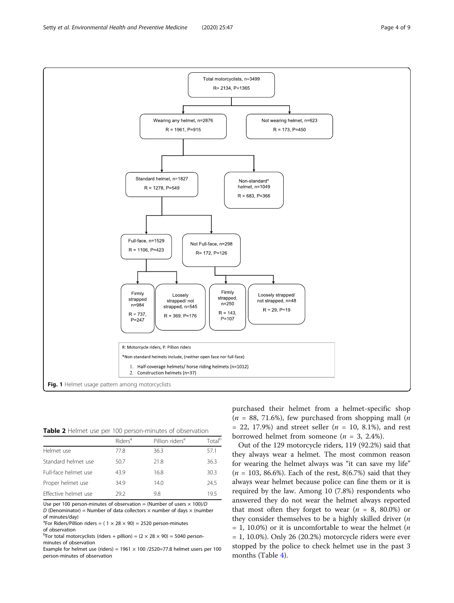<span id="page-3-0"></span>Setty et al. Environmental Health and Preventive Medicine (2020) 25:47 Page 4 of 9



Table 2 Helmet use per 100 person-minutes of observation

|                      | Riders <sup>a</sup> | Pillion riders <sup>a</sup> | Total <sup>b</sup> |
|----------------------|---------------------|-----------------------------|--------------------|
| Helmet use           | 77.8                | 36.3                        | 57.1               |
| Standard helmet use  | 50.7                | 21.8                        | 36.3               |
| Full-face helmet use | 43.9                | 16.8                        | 30.3               |
| Proper helmet use    | 34.9                | 14.0                        | 24.5               |
| Effective helmet use | 29.2                | 9.8                         | 19.5               |

Use per 100 person-minutes of observation = (Number of users  $\times$  100)/D D (Denominator) = Number of data collectors  $\times$  number of days  $\times$  (number of minutes/day)

<sup>a</sup>For Riders/Pillion riders =  $(1 \times 28 \times 90)$  = 2520 person-minutes of observation

<sup>b</sup>For total motorcyclists (riders + pillion) =  $(2 \times 28 \times 90)$  = 5040 personminutes of observation

Example for helmet use (riders) =  $1961 \times 100$  /2520=77.8 helmet users per 100 person-minutes of observation

purchased their helmet from a helmet-specific shop  $(n = 88, 71.6\%)$ , few purchased from shopping mall  $(n = 88, 71.6\%)$  $= 22, 17.9\%$  and street seller ( $n = 10, 8.1\%$ ), and rest borrowed helmet from someone ( $n = 3, 2.4\%$ ).

Out of the 129 motorcycle riders, 119 (92.2%) said that they always wear a helmet. The most common reason for wearing the helmet always was "it can save my life"  $(n = 103, 86.6\%).$  Each of the rest,  $8(6.7\%)$  said that they always wear helmet because police can fine them or it is required by the law. Among 10 (7.8%) respondents who answered they do not wear the helmet always reported that most often they forget to wear  $(n = 8, 80.0\%)$  or they consider themselves to be a highly skilled driver  $(n)$  $= 1, 10.0\%$ ) or it is uncomfortable to wear the helmet (*n* = 1, 10.0%). Only 26 (20.2%) motorcycle riders were ever stopped by the police to check helmet use in the past 3 months (Table [4\)](#page-5-0).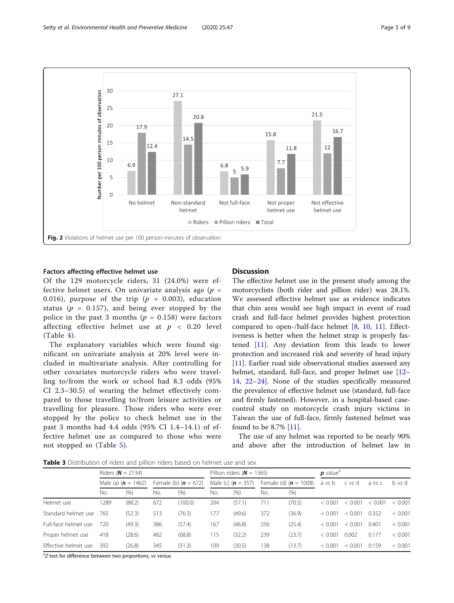<span id="page-4-0"></span>

#### Factors affecting effective helmet use

Of the 129 motorcycle riders, 31 (24.0%) were effective helmet users. On univariate analysis age  $(p =$ 0.016), purpose of the trip ( $p = 0.003$ ), education status ( $p = 0.157$ ), and being ever stopped by the police in the past 3 months ( $p = 0.158$ ) were factors affecting effective helmet use at  $p < 0.20$  level  $(Table 4)$  $(Table 4)$ .

The explanatory variables which were found significant on univariate analysis at 20% level were included in multivariate analysis. After controlling for other covariates motorcycle riders who were travelling to/from the work or school had 8.3 odds (95% CI 2.3–30.5) of wearing the helmet effectively compared to those travelling to/from leisure activities or travelling for pleasure. Those riders who were ever stopped by the police to check helmet use in the past 3 months had 4.4 odds (95% CI 1.4–14.1) of effective helmet use as compared to those who were not stopped so (Table [5\)](#page-5-0).

### **Discussion**

The effective helmet use in the present study among the motorcyclists (both rider and pillion rider) was 28.1%. We assessed effective helmet use as evidence indicates that chin area would see high impact in event of road crash and full-face helmet provides highest protection compared to open-/half-face helmet [\[8](#page-7-0), [10,](#page-7-0) [11](#page-7-0)]. Effectiveness is better when the helmet strap is properly fastened [\[11\]](#page-7-0). Any deviation from this leads to lower protection and increased risk and severity of head injury [[11\]](#page-7-0). Earlier road side observational studies assessed any helmet, standard, full-face, and proper helmet use [[12](#page-7-0)– [14,](#page-7-0) [22](#page-8-0)–[24](#page-8-0)]. None of the studies specifically measured the prevalence of effective helmet use (standard, full-face and firmly fastened). However, in a hospital-based casecontrol study on motorcycle crash injury victims in Taiwan the use of full-face, firmly fastened helmet was found to be 8.7% [\[11\]](#page-7-0).

The use of any helmet was reported to be nearly 90% and above after the introduction of helmet law in

Table 3 Distribution of riders and pillion riders based on helmet use and sex

|                      | Riders ( $N = 2134$ ) |        |                        | Pillion riders ( $N = 1365$ ) |                      |        |                         | $p$ value <sup>d</sup> |         |         |         |         |
|----------------------|-----------------------|--------|------------------------|-------------------------------|----------------------|--------|-------------------------|------------------------|---------|---------|---------|---------|
|                      | Male (a) $(n = 1462)$ |        | Female (b) $(n = 672)$ |                               | Male (c) $(n = 357)$ |        | Female (d) $(n = 1008)$ |                        | avsb    | cvsd    | a vs c  | b vs d  |
|                      | No.                   | (% )   | No.                    | $(\% )$                       | No.                  | (% )   | No.                     | (% )                   |         |         |         |         |
| Helmet use           | 1289                  | (88.2) | 672                    | (100.0)                       | 204                  | (57.1) | 711                     | (70.5)                 | < 0.001 | < 0.001 | < 0.001 | < 0.001 |
| Standard helmet use  | 765                   | (52.3) | 513                    | (76.3)                        | 177                  | (49.6) | 372                     | (36.9)                 | < 0.001 | < 0.001 | 0.352   | < 0.001 |
| Full-face helmet use | 720                   | (49.3) | 386                    | (57.4)                        | 167                  | (46.8) | 256                     | (25.4)                 | < 0.001 | < 0.001 | 0.401   | < 0.001 |
| Proper helmet use    | 418                   | (28.6) | 462                    | (68.8)                        | 115                  | (32.2) | 239                     | (23.7)                 | < 0.001 | 0.002   | 0.177   | < 0.001 |
| Effective helmet use | 392                   | (26.8) | 345                    | (51.3)                        | 109                  | (30.5) | 138                     | (13.7)                 | < 0.001 | < 0.001 | 0.159   | < 0.001 |

<sup>a</sup>Z test for difference between two proportions, vs versus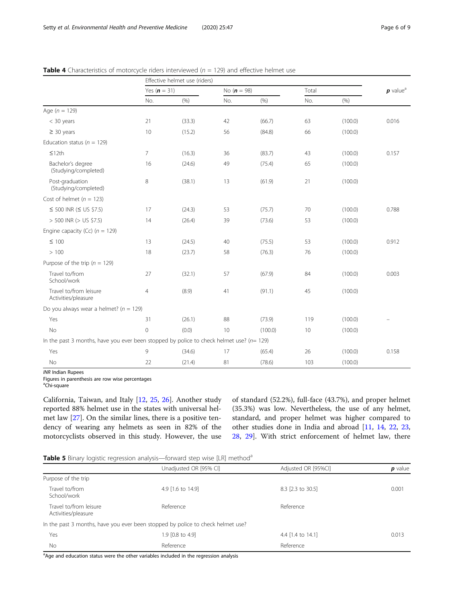|                                                                                             |                | Effective helmet use (riders) |     |                        |     |         |                        |  |
|---------------------------------------------------------------------------------------------|----------------|-------------------------------|-----|------------------------|-----|---------|------------------------|--|
|                                                                                             | Yes $(n = 31)$ |                               |     | No $(n = 98)$<br>Total |     |         | $p$ value <sup>a</sup> |  |
|                                                                                             | No.            | (% )                          | No. | (% )                   | No. | (% )    |                        |  |
| Age $(n = 129)$                                                                             |                |                               |     |                        |     |         |                        |  |
| $<$ 30 years                                                                                | 21             | (33.3)                        | 42  | (66.7)                 | 63  | (100.0) | 0.016                  |  |
| $\geq$ 30 years                                                                             | 10             | (15.2)                        | 56  | (84.8)                 | 66  | (100.0) |                        |  |
| Education status ( $n = 129$ )                                                              |                |                               |     |                        |     |         |                        |  |
| $\leq 12th$                                                                                 | $\overline{7}$ | (16.3)                        | 36  | (83.7)                 | 43  | (100.0) | 0.157                  |  |
| Bachelor's degree<br>(Studying/completed)                                                   | 16             | (24.6)                        | 49  | (75.4)                 | 65  | (100.0) |                        |  |
| Post-graduation<br>(Studying/completed)                                                     | 8              | (38.1)                        | 13  | (61.9)                 | 21  | (100.0) |                        |  |
| Cost of helmet ( $n = 123$ )                                                                |                |                               |     |                        |     |         |                        |  |
| $\leq$ 500 INR ( $\leq$ US \$7.5)                                                           | 17             | (24.3)                        | 53  | (75.7)                 | 70  | (100.0) | 0.788                  |  |
| $>$ 500 INR ( $>$ US \$7.5)                                                                 | 14             | (26.4)                        | 39  | (73.6)                 | 53  | (100.0) |                        |  |
| Engine capacity (Cc) ( $n = 129$ )                                                          |                |                               |     |                        |     |         |                        |  |
| $\leq 100$                                                                                  | 13             | (24.5)                        | 40  | (75.5)                 | 53  | (100.0) | 0.912                  |  |
| >100                                                                                        | 18             | (23.7)                        | 58  | (76.3)                 | 76  | (100.0) |                        |  |
| Purpose of the trip ( $n = 129$ )                                                           |                |                               |     |                        |     |         |                        |  |
| Travel to/from<br>School/work                                                               | 27             | (32.1)                        | 57  | (67.9)                 | 84  | (100.0) | 0.003                  |  |
| Travel to/from leisure<br>Activities/pleasure                                               | $\overline{4}$ | (8.9)                         | 41  | (91.1)                 | 45  | (100.0) |                        |  |
| Do you always wear a helmet? ( $n = 129$ )                                                  |                |                               |     |                        |     |         |                        |  |
| Yes                                                                                         | 31             | (26.1)                        | 88  | (73.9)                 | 119 | (100.0) |                        |  |
| <b>No</b>                                                                                   | $\overline{0}$ | (0.0)                         | 10  | (100.0)                | 10  | (100.0) |                        |  |
| In the past 3 months, have you ever been stopped by police to check helmet use? ( $n=129$ ) |                |                               |     |                        |     |         |                        |  |
| Yes                                                                                         | 9              | (34.6)                        | 17  | (65.4)                 | 26  | (100.0) | 0.158                  |  |
| No                                                                                          | 22             | (21.4)                        | 81  | (78.6)                 | 103 | (100.0) |                        |  |

<span id="page-5-0"></span>**Table 4** Characteristics of motorcycle riders interviewed ( $n = 129$ ) and effective helmet use

INR Indian Rupees

Figures in parenthesis are row wise percentages

<sup>a</sup>Chi-square

California, Taiwan, and Italy [\[12](#page-7-0), [25,](#page-8-0) [26](#page-8-0)]. Another study reported 88% helmet use in the states with universal helmet law [\[27](#page-8-0)]. On the similar lines, there is a positive tendency of wearing any helmets as seen in 82% of the motorcyclists observed in this study. However, the use of standard (52.2%), full-face (43.7%), and proper helmet (35.3%) was low. Nevertheless, the use of any helmet, standard, and proper helmet was higher compared to other studies done in India and abroad [\[11](#page-7-0), [14](#page-7-0), [22](#page-8-0), [23](#page-8-0), [28,](#page-8-0) [29\]](#page-8-0). With strict enforcement of helmet law, there

**Table 5** Binary logistic regression analysis—forward step wise [LR] method<sup>a</sup>

|                                               | Unadjusted OR [95% CI]                                                          | Adjusted OR [95%CI] | $p$ value |  |  |  |  |
|-----------------------------------------------|---------------------------------------------------------------------------------|---------------------|-----------|--|--|--|--|
| Purpose of the trip                           |                                                                                 |                     |           |  |  |  |  |
| Travel to/from<br>School/work                 | 4.9 [1.6 to 14.9]                                                               | 8.3 [2.3 to 30.5]   | 0.001     |  |  |  |  |
| Travel to/from leisure<br>Activities/pleasure | Reference                                                                       | Reference           |           |  |  |  |  |
|                                               | In the past 3 months, have you ever been stopped by police to check helmet use? |                     |           |  |  |  |  |
| Yes                                           | 1.9 [0.8 to 4.9]                                                                | 4.4 [1.4 to 14.1]   | 0.013     |  |  |  |  |
| No                                            | Reference                                                                       | Reference           |           |  |  |  |  |

<sup>a</sup>Age and education status were the other variables included in the regression analysis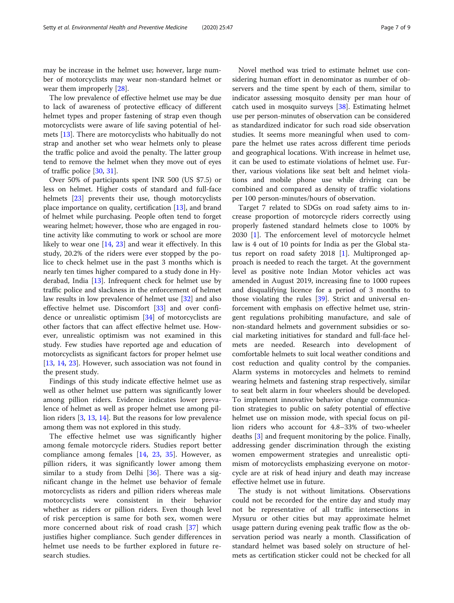may be increase in the helmet use; however, large number of motorcyclists may wear non-standard helmet or wear them improperly [\[28\]](#page-8-0).

The low prevalence of effective helmet use may be due to lack of awareness of protective efficacy of different helmet types and proper fastening of strap even though motorcyclists were aware of life saving potential of helmets [\[13](#page-7-0)]. There are motorcyclists who habitually do not strap and another set who wear helmets only to please the traffic police and avoid the penalty. The latter group tend to remove the helmet when they move out of eyes of traffic police [[30,](#page-8-0) [31\]](#page-8-0).

Over 50% of participants spent INR 500 (US \$7.5) or less on helmet. Higher costs of standard and full-face helmets [\[23](#page-8-0)] prevents their use, though motorcyclists place importance on quality, certification [[13\]](#page-7-0), and brand of helmet while purchasing. People often tend to forget wearing helmet; however, those who are engaged in routine activity like commuting to work or school are more likely to wear one [[14,](#page-7-0) [23\]](#page-8-0) and wear it effectively. In this study, 20.2% of the riders were ever stopped by the police to check helmet use in the past 3 months which is nearly ten times higher compared to a study done in Hyderabad, India [\[13\]](#page-7-0). Infrequent check for helmet use by traffic police and slackness in the enforcement of helmet law results in low prevalence of helmet use [\[32](#page-8-0)] and also effective helmet use. Discomfort [[33\]](#page-8-0) and over confidence or unrealistic optimism [\[34](#page-8-0)] of motorcyclists are other factors that can affect effective helmet use. However, unrealistic optimism was not examined in this study. Few studies have reported age and education of motorcyclists as significant factors for proper helmet use [[13,](#page-7-0) [14,](#page-7-0) [23](#page-8-0)]. However, such association was not found in the present study.

Findings of this study indicate effective helmet use as well as other helmet use pattern was significantly lower among pillion riders. Evidence indicates lower prevalence of helmet as well as proper helmet use among pillion riders [[3,](#page-7-0) [13,](#page-7-0) [14\]](#page-7-0). But the reasons for low prevalence among them was not explored in this study.

The effective helmet use was significantly higher among female motorcycle riders. Studies report better compliance among females [\[14](#page-7-0), [23,](#page-8-0) [35](#page-8-0)]. However, as pillion riders, it was significantly lower among them similar to a study from Delhi [[36\]](#page-8-0). There was a significant change in the helmet use behavior of female motorcyclists as riders and pillion riders whereas male motorcyclists were consistent in their behavior whether as riders or pillion riders. Even though level of risk perception is same for both sex, women were more concerned about risk of road crash [[37](#page-8-0)] which justifies higher compliance. Such gender differences in helmet use needs to be further explored in future research studies.

Novel method was tried to estimate helmet use considering human effort in denominator as number of observers and the time spent by each of them, similar to indicator assessing mosquito density per man hour of catch used in mosquito surveys [\[38\]](#page-8-0). Estimating helmet use per person-minutes of observation can be considered as standardized indicator for such road side observation studies. It seems more meaningful when used to compare the helmet use rates across different time periods and geographical locations. With increase in helmet use, it can be used to estimate violations of helmet use. Further, various violations like seat belt and helmet violations and mobile phone use while driving can be combined and compared as density of traffic violations per 100 person-minutes/hours of observation.

Target 7 related to SDGs on road safety aims to increase proportion of motorcycle riders correctly using properly fastened standard helmets close to 100% by 2030 [\[1](#page-7-0)]. The enforcement level of motorcycle helmet law is 4 out of 10 points for India as per the Global status report on road safety 2018 [\[1](#page-7-0)]. Multipronged approach is needed to reach the target. At the government level as positive note Indian Motor vehicles act was amended in August 2019, increasing fine to 1000 rupees and disqualifying licence for a period of 3 months to those violating the rules [[39\]](#page-8-0). Strict and universal enforcement with emphasis on effective helmet use, stringent regulations prohibiting manufacture, and sale of non-standard helmets and government subsidies or social marketing initiatives for standard and full-face helmets are needed. Research into development of comfortable helmets to suit local weather conditions and cost reduction and quality control by the companies. Alarm systems in motorcycles and helmets to remind wearing helmets and fastening strap respectively, similar to seat belt alarm in four wheelers should be developed. To implement innovative behavior change communication strategies to public on safety potential of effective helmet use on mission mode, with special focus on pillion riders who account for 4.8–33% of two-wheeler deaths [\[3\]](#page-7-0) and frequent monitoring by the police. Finally, addressing gender discrimination through the existing women empowerment strategies and unrealistic optimism of motorcyclists emphasizing everyone on motorcycle are at risk of head injury and death may increase effective helmet use in future.

The study is not without limitations. Observations could not be recorded for the entire day and study may not be representative of all traffic intersections in Mysuru or other cities but may approximate helmet usage pattern during evening peak traffic flow as the observation period was nearly a month. Classification of standard helmet was based solely on structure of helmets as certification sticker could not be checked for all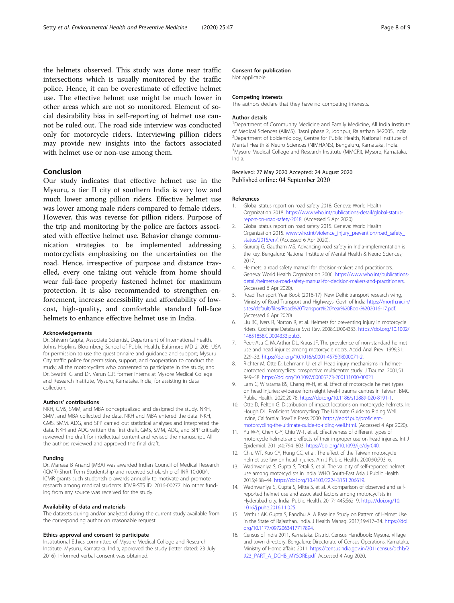<span id="page-7-0"></span>the helmets observed. This study was done near traffic intersections which is usually monitored by the traffic police. Hence, it can be overestimate of effective helmet use. The effective helmet use might be much lower in other areas which are not so monitored. Element of social desirability bias in self-reporting of helmet use cannot be ruled out. The road side interview was conducted only for motorcycle riders. Interviewing pillion riders may provide new insights into the factors associated with helmet use or non-use among them.

#### Conclusion

Our study indicates that effective helmet use in the Mysuru, a tier II city of southern India is very low and much lower among pillion riders. Effective helmet use was lower among male riders compared to female riders. However, this was reverse for pillion riders. Purpose of the trip and monitoring by the police are factors associated with effective helmet use. Behavior change communication strategies to be implemented addressing motorcyclists emphasizing on the uncertainties on the road. Hence, irrespective of purpose and distance travelled, every one taking out vehicle from home should wear full-face properly fastened helmet for maximum protection. It is also recommended to strengthen enforcement, increase accessibility and affordability of lowcost, high-quality, and comfortable standard full-face helmets to enhance effective helmet use in India.

#### Acknowledgements

Dr. Shivam Gupta, Associate Scientist, Department of International health, Johns Hopkins Bloomberg School of Public Health, Baltimore MD 21205, USA for permission to use the questionnaire and guidance and support; Mysuru City traffic police for permission, support, and cooperation to conduct the study; all the motorcyclists who consented to participate in the study; and Dr. Swathi. G and Dr. Varun C.R. former interns at Mysore Medical College and Research Institute, Mysuru, Karnataka, India, for assisting in data collection.

#### Authors' contributions

NKH, GMS, SMM, and MBA conceptualized and designed the study. NKH, SMM, and MBA collected the data. NKH and MBA entered the data. NKH, GMS, SMM, ADG, and SPP carried out statistical analyses and interpreted the data. NKH and ADG written the first draft. GMS, SMM, ADG, and SPP critically reviewed the draft for intellectual content and revised the manuscript. All the authors reviewed and approved the final draft.

#### Funding

Dr. Manasa B Anand (MBA) was awarded Indian Council of Medical Research (ICMR)-Short Term Studentship and received scholarship of INR 10,000/-. ICMR grants such studentship awards annually to motivate and promote research among medical students. ICMR-STS ID: 2016-00277. No other funding from any source was received for the study.

#### Availability of data and materials

The datasets during and/or analyzed during the current study available from the corresponding author on reasonable request.

#### Ethics approval and consent to participate

Institutional Ethics committee of Mysore Medical College and Research Institute, Mysuru, Karnataka, India, approved the study (letter dated: 23 July 2016). Informed verbal consent was obtained.

#### Consent for publication

Not applicable

#### Competing interests

The authors declare that they have no competing interests.

#### Author details

<sup>1</sup>Department of Community Medicine and Family Medicine, All India Institute of Medical Sciences (AIIMS), Basni phase 2, Jodhpur, Rajasthan 342005, India. <sup>2</sup>Department of Epidemiology, Centre for Public Health, National Institute of Mental Health & Neuro Sciences (NIMHANS), Bengaluru, Karnataka, India. <sup>3</sup>Mysore Medical College and Research Institute (MMCRI), Mysore, Karnataka, India.

#### Received: 27 May 2020 Accepted: 24 August 2020 Published online: 04 September 2020

#### References

- 1. Global status report on road safety 2018. Geneva: World Health Organization 2018. [https://www.who.int/publications-detail/global-status](https://www.who.int/publications-detail/global-status-report-on-road-safety-2018)[report-on-road-safety-2018.](https://www.who.int/publications-detail/global-status-report-on-road-safety-2018) (Accessed 5 Apr 2020).
- 2. Global status report on road safety 2015. Geneva: World Health Organization 2015. [www.who.int/violence\\_injury\\_prevention/road\\_safety\\_](http://www.who.int/violence_injury_prevention/road_safety_status/2015/en/) [status/2015/en/](http://www.who.int/violence_injury_prevention/road_safety_status/2015/en/). (Accessed 6 Apr 2020).
- 3. Gururaj G, Gautham MS. Advancing road safety in India-implementation is the key. Bengaluru: National Institute of Mental Health & Neuro Sciences; 2017.
- 4. Helmets: a road safety manual for decision-makers and practitioners. Geneva: World Health Organization 2006. [https://www.who.int/publications](https://www.who.int/publications-detail/helmets-a-road-safety-manual-for-decision-makers-and-practitioners)[detail/helmets-a-road-safety-manual-for-decision-makers-and-practitioners.](https://www.who.int/publications-detail/helmets-a-road-safety-manual-for-decision-makers-and-practitioners) (Accessed 6 Apr 2020).
- 5. Road Transport Year Book (2016-17). New Delhi: transport research wing, Ministry of Road Transport and Highways. Govt. of India [https://morth.nic.in/](https://morth.nic.in/sites/default/files/Road%20Transport%20Year%20Book%202016-17.pdf) [sites/default/files/Road%20Transport%20Year%20Book%202016-17.pdf.](https://morth.nic.in/sites/default/files/Road%20Transport%20Year%20Book%202016-17.pdf) (Accessed 6 Apr 2020).
- 6. Liu BC, Ivers R, Norton R, et al. Helmets for preventing injury in motorcycle riders. Cochrane Database Syst Rev. 2008:CD004333. [https://doi.org/10.1002/](https://doi.org/10.1002/14651858.CD004333.pub3) [14651858.CD004333.pub3](https://doi.org/10.1002/14651858.CD004333.pub3).
- 7. Peek-Asa C, McArthur DL, Kraus JF. The prevalence of non-standard helmet use and head injuries among motorcycle riders. Accid Anal Prev. 1999;31: 229–33. [https://doi.org/10.1016/s0001-4575\(98\)00071-2.](https://doi.org/10.1016/s0001-4575(98)00071-2)
- 8. Richter M, Otte D, Lehmann U, et al. Head injury mechanisms in helmetprotected motorcyclists: prospective multicenter study. J Trauma. 2001;51: 949–58. <https://doi.org/10.1097/00005373-200111000-00021>.
- 9. Lam C, Wiratama BS, Chang W-H, et al. Effect of motorcycle helmet types on head injuries: evidence from eight level-I trauma centres in Taiwan. BMC Public Health. 2020;20:78. <https://doi.org/10.1186/s12889-020-8191-1>.
- 10. Otte D, Felton G. Distribution of impact locations on motorcycle helmets. In: Hough DL. Proficient Motorcycling: The Ultimate Guide to Riding Well. Irvine, California: BowTie Press 2000. [https://epdf.pub/proficient](https://epdf.pub/proficient-motorcycling-the-ultimate-guide-to-riding-well.html)[motorcycling-the-ultimate-guide-to-riding-well.html](https://epdf.pub/proficient-motorcycling-the-ultimate-guide-to-riding-well.html). (Accessed 4 Apr 2020).
- 11. Yu W-Y, Chen C-Y, Chiu W-T, et al. Effectiveness of different types of motorcycle helmets and effects of their improper use on head injuries. Int J Epidemiol. 2011;40:794–803. <https://doi.org/10.1093/ije/dyr040>.
- 12. Chiu WT, Kuo CY, Hung CC, et al. The effect of the Taiwan motorcycle helmet use law on head injuries. Am J Public Health. 2000;90:793–6.
- 13. Wadhwaniya S, Gupta S, Tetali S, et al. The validity of self-reported helmet use among motorcyclists in India. WHO South-East Asia J Public Health. 2015;4:38–44. [https://doi.org/10.4103/2224-3151.206619.](https://doi.org/10.4103/2224-3151.206619)
- 14. Wadhwaniya S, Gupta S, Mitra S, et al. A comparison of observed and selfreported helmet use and associated factors among motorcyclists in Hyderabad city, India. Public Health. 2017;144S:S62–9. [https://doi.org/10.](https://doi.org/10.1016/j.puhe.2016.11.025) [1016/j.puhe.2016.11.025.](https://doi.org/10.1016/j.puhe.2016.11.025)
- 15. Mathur AK, Gupta S, Bandhu A. A Baseline Study on Pattern of Helmet Use in the State of Rajasthan, India. J Health Manag. 2017;19:417–34. [https://doi.](https://doi.org/10.1177/0972063417717894) [org/10.1177/0972063417717894.](https://doi.org/10.1177/0972063417717894)
- 16. Census of India 2011, Karnataka. District Census Handbook: Mysore. Village and town directory. Bengaluru: Directorate of Census Operations, Karnataka. Ministry of Home affairs 2011. [https://censusindia.gov.in/2011census/dchb/2](https://censusindia.gov.in/2011census/dchb/2923_PART_A_DCHB_MYSORE.pdf) [923\\_PART\\_A\\_DCHB\\_MYSORE.pdf](https://censusindia.gov.in/2011census/dchb/2923_PART_A_DCHB_MYSORE.pdf). Accessed 4 Aug 2020.